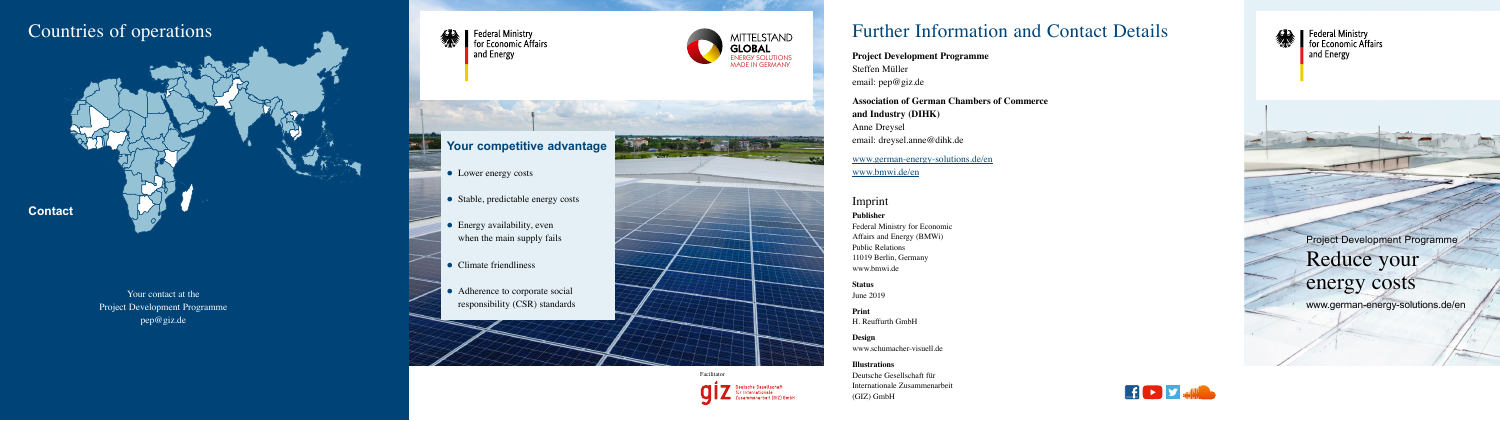ENERGY SOLUTIONS MADE IN GERMANY

**MITTELSTAND** 



Your contact at the Project Development Programme [pep@giz.de](mailto:pep@giz.de)



 $\frac{1}{2}$ 

Federal Ministry<br>
for Economic Affairs and Energy



**Publisher**  Federal Ministry for Economic Affairs and Energy (BMWi) Public Relations 11019 Berlin, Germany [www.bmwi.de](https://www.bmwi.de)

**Status** June 2019

**Print** H. Reuffurth GmbH

**Design** [www.schumacher-visuell.de](https://www.schumacher-visuell.de)

**Illustrations** Deutsche Gesellschaft für Internationale Zusammenarbeit (GIZ) GmbH

# Further Information and Contact Details

- Lower energy costs
- Stable, predictable energy costs
- $\bullet$  Energy availability, even when the main supply fails
- $\bullet$  Climate friendliness
- Adherence to corporate social responsibility (CSR) standards

**Project Development Programme** Steffen Müller email: [pep@giz.de](mailto:pep@giz.de)

> Project Development Programme Reduce your energy costs

**Association of German Chambers of Commerce** 

**and Industry (DIHK)** Anne Dreysel email: [dreysel.anne@dihk.de](mailto:dreysel.anne@dihk.de)

[www.german-energy-solutions.de/en](https://www.german-energy-solutions.de/en)



Federal Ministry<br>
for Economic Affairs and Energy

[www.bmwi.de/en](https://www.bmwi.de/en)

## **Your competitive advantage**

# Countries of operations

www.german-energy-solutions.de/en